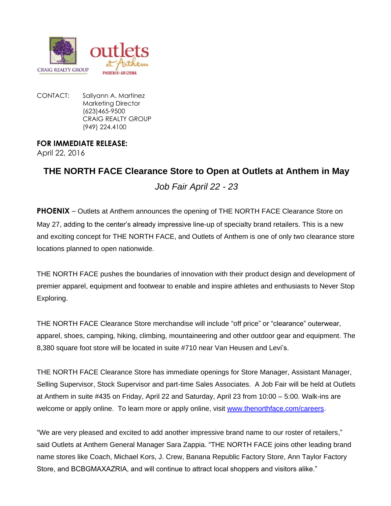

CONTACT: Sallyann A. Martinez Marketing Director (623)465-9500 CRAIG REALTY GROUP (949) 224.4100

## **FOR IMMEDIATE RELEASE:**

April 22, 2016

## **THE NORTH FACE Clearance Store to Open at Outlets at Anthem in May** *Job Fair April 22 - 23*

**PHOENIX** – Outlets at Anthem announces the opening of THE NORTH FACE Clearance Store on May 27, adding to the center's already impressive line-up of specialty brand retailers. This is a new and exciting concept for THE NORTH FACE, and Outlets of Anthem is one of only two clearance store locations planned to open nationwide.

THE NORTH FACE pushes the boundaries of innovation with their product design and development of premier apparel, equipment and footwear to enable and inspire athletes and enthusiasts to Never Stop Exploring.

THE NORTH FACE Clearance Store merchandise will include "off price" or "clearance" outerwear, apparel, shoes, camping, hiking, climbing, mountaineering and other outdoor gear and equipment. The 8,380 square foot store will be located in suite #710 near Van Heusen and Levi's.

THE NORTH FACE Clearance Store has immediate openings for Store Manager, Assistant Manager, Selling Supervisor, Stock Supervisor and part-time Sales Associates. A Job Fair will be held at Outlets at Anthem in suite #435 on Friday, April 22 and Saturday, April 23 from 10:00 – 5:00. Walk-ins are welcome or apply online. To learn more or apply online, visit [www.thenorthface.com/careers.](http://www.thenorthface.com/careers)

"We are very pleased and excited to add another impressive brand name to our roster of retailers," said Outlets at Anthem General Manager Sara Zappia. "THE NORTH FACE joins other leading brand name stores like Coach, Michael Kors, J. Crew, Banana Republic Factory Store, Ann Taylor Factory Store, and BCBGMAXAZRIA, and will continue to attract local shoppers and visitors alike."